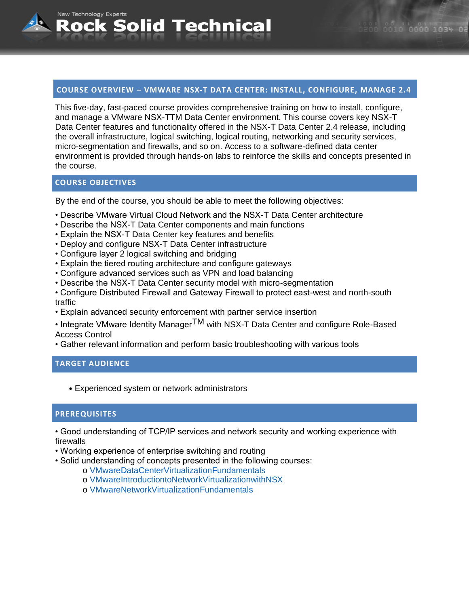# **COURSE OVERVIEW – VMWARE NSX-T DATA CENTER: INSTALL, CONFIGURE, MANAGE 2.4**

This five-day, fast-paced course provides comprehensive training on how to install, configure, and manage a VMware NSX-TTM Data Center environment. This course covers key NSX-T Data Center features and functionality offered in the NSX-T Data Center 2.4 release, including the overall infrastructure, logical switching, logical routing, networking and security services, micro-segmentation and firewalls, and so on. Access to a software-defined data center environment is provided through hands-on labs to reinforce the skills and concepts presented in the course.

# **COURSE OBJECTIVES**

New Technology Experts

By the end of the course, you should be able to meet the following objectives:

- Describe VMware Virtual Cloud Network and the NSX-T Data Center architecture
- Describe the NSX-T Data Center components and main functions
- Explain the NSX-T Data Center key features and benefits

Rock Solid Technical

- Deploy and configure NSX-T Data Center infrastructure
- Configure layer 2 logical switching and bridging
- Explain the tiered routing architecture and configure gateways
- Configure advanced services such as VPN and load balancing
- Describe the NSX-T Data Center security model with micro-segmentation
- Configure Distributed Firewall and Gateway Firewall to protect east-west and north-south traffic
- Explain advanced security enforcement with partner service insertion
- Integrate VMware Identity Manager<sup>TM</sup> with NSX-T Data Center and configure Role-Based Access Control
- Gather relevant information and perform basic troubleshooting with various tools

## **TARGET AUDIENCE**

• Experienced system or network administrators

#### **PREREQUISITES**

- Good understanding of TCP/IP services and network security and working experience with firewalls
- Working experience of enterprise switching and routing
- Solid understanding of concepts presented in the following courses:
	- o VMwareDataCenterVirtualizationFundamentals
	- o VMwareIntroductiontoNetworkVirtualizationwithNSX
	- o VMwareNetworkVirtualizationFundamentals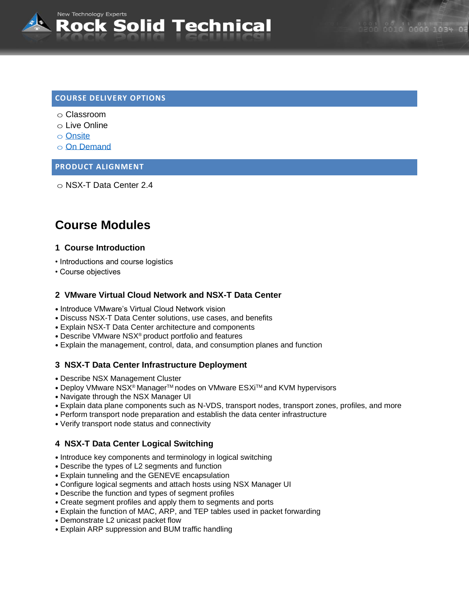# **COURSE DELIVERY OPTIONS**

o Classroom

New Technology Experts

- o Live Online
- o [Onsite](mailto:sales@rocksolidtechnical.com?subject=On-Site%20Inquiry)
- o [On Demand](mailto:sales@rocksolidtechnical.com?subject=On%20Demand%20Inquiry)

#### **PRODUCT ALIGNMENT**

o NSX-T Data Center 2.4

# **Course Modules**

#### **1 Course Introduction**

- Introductions and course logistics
- Course objectives

#### **2 VMware Virtual Cloud Network and NSX-T Data Center**

Rock Solid Technical

- Introduce VMware's Virtual Cloud Network vision
- Discuss NSX-T Data Center solutions, use cases, and benefits
- Explain NSX-T Data Center architecture and components
- Describe VMware NSX® product portfolio and features
- Explain the management, control, data, and consumption planes and function

#### **3 NSX-T Data Center Infrastructure Deployment**

- Describe NSX Management Cluster
- Deploy VMware NSX<sup>®</sup> Manager<sup>™</sup> nodes on VMware ESXi™ and KVM hypervisors
- Navigate through the NSX Manager UI
- Explain data plane components such as N-VDS, transport nodes, transport zones, profiles, and more
- Perform transport node preparation and establish the data center infrastructure
- Verify transport node status and connectivity

#### **4 NSX-T Data Center Logical Switching**

- Introduce key components and terminology in logical switching
- Describe the types of L2 segments and function
- Explain tunneling and the GENEVE encapsulation
- Configure logical segments and attach hosts using NSX Manager UI
- Describe the function and types of segment profiles
- Create segment profiles and apply them to segments and ports
- Explain the function of MAC, ARP, and TEP tables used in packet forwarding
- Demonstrate L2 unicast packet flow
- Explain ARP suppression and BUM traffic handling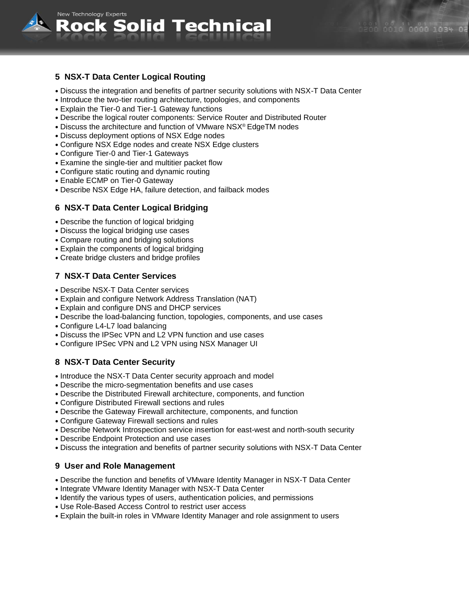

# **5 NSX-T Data Center Logical Routing**

**New Technology Experts** 

- Discuss the integration and benefits of partner security solutions with NSX-T Data Center
- Introduce the two-tier routing architecture, topologies, and components

Rock Solid Technical

- Explain the Tier-0 and Tier-1 Gateway functions
- Describe the logical router components: Service Router and Distributed Router
- Discuss the architecture and function of VMware NSX® EdgeTM nodes
- Discuss deployment options of NSX Edge nodes
- Configure NSX Edge nodes and create NSX Edge clusters
- Configure Tier-0 and Tier-1 Gateways
- Examine the single-tier and multitier packet flow
- Configure static routing and dynamic routing
- Enable ECMP on Tier-0 Gateway
- Describe NSX Edge HA, failure detection, and failback modes

#### **6 NSX-T Data Center Logical Bridging**

- Describe the function of logical bridging
- Discuss the logical bridging use cases
- Compare routing and bridging solutions
- Explain the components of logical bridging
- Create bridge clusters and bridge profiles

#### **7 NSX-T Data Center Services**

- Describe NSX-T Data Center services
- Explain and configure Network Address Translation (NAT)
- Explain and configure DNS and DHCP services
- Describe the load-balancing function, topologies, components, and use cases
- Configure L4-L7 load balancing
- Discuss the IPSec VPN and L2 VPN function and use cases
- Configure IPSec VPN and L2 VPN using NSX Manager UI

#### **8 NSX-T Data Center Security**

- Introduce the NSX-T Data Center security approach and model
- Describe the micro-segmentation benefits and use cases
- Describe the Distributed Firewall architecture, components, and function
- Configure Distributed Firewall sections and rules
- Describe the Gateway Firewall architecture, components, and function
- Configure Gateway Firewall sections and rules
- Describe Network Introspection service insertion for east-west and north-south security
- Describe Endpoint Protection and use cases
- Discuss the integration and benefits of partner security solutions with NSX-T Data Center

#### **9 User and Role Management**

- Describe the function and benefits of VMware Identity Manager in NSX-T Data Center
- Integrate VMware Identity Manager with NSX-T Data Center
- Identify the various types of users, authentication policies, and permissions
- Use Role-Based Access Control to restrict user access
- Explain the built-in roles in VMware Identity Manager and role assignment to users